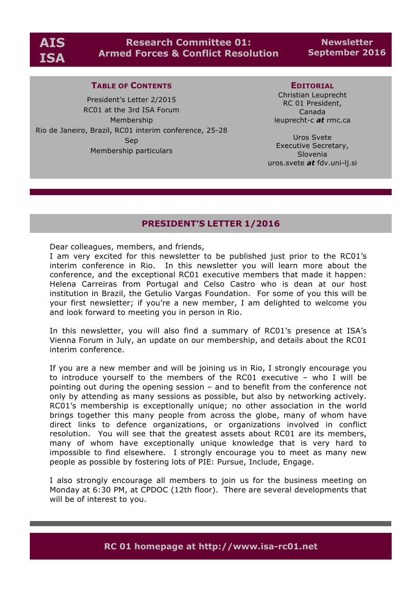# **Research Committee 01: Armed Forces & Conflict Resolution**

**Newsletter September 2016**

#### **TABLE OF CONTENTS**

President's Letter 2/2015 RC01 at the 3rd ISA Forum Membership Rio de Janeiro, Brazil, RC01 interim conference, 25-28 Sep Membership particulars

#### **EDITORIAL**

Christian Leuprecht RC 01 President, Canada leuprecht-c *at* rmc.ca

Uros Svete Executive Secretary, Slovenia uros.svete *at* fdv.uni-lj.si

## **PRESIDENT'S LETTER 1/2016**

Dear colleagues, members, and friends,

I am very excited for this newsletter to be published just prior to the RC01's interim conference in Rio. In this newsletter you will learn more about the conference, and the exceptional RC01 executive members that made it happen: Helena Carreiras from Portugal and Celso Castro who is dean at our host institution in Brazil, the Getulio Vargas Foundation. For some of you this will be your first newsletter; if you're a new member, I am delighted to welcome you and look forward to meeting you in person in Rio.

In this newsletter, you will also find a summary of RC01's presence at ISA's Vienna Forum in July, an update on our membership, and details about the RC01 interim conference.

If you are a new member and will be joining us in Rio, I strongly encourage you to introduce yourself to the members of the RC01 executive – who I will be pointing out during the opening session – and to benefit from the conference not only by attending as many sessions as possible, but also by networking actively. RC01's membership is exceptionally unique; no other association in the world brings together this many people from across the globe, many of whom have direct links to defence organizations, or organizations involved in conflict resolution. You will see that the greatest assets about RC01 are its members, many of whom have exceptionally unique knowledge that is very hard to impossible to find elsewhere. I strongly encourage you to meet as many new people as possible by fostering lots of PIE: Pursue, Include, Engage.

I also strongly encourage all members to join us for the business meeting on Monday at 6:30 PM, at CPDOC (12th floor). There are several developments that will be of interest to you.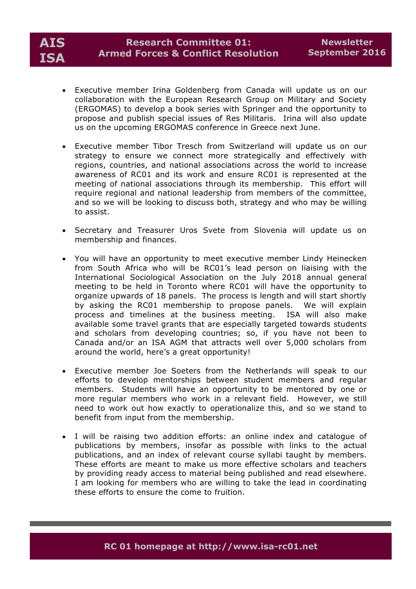- Executive member Irina Goldenberg from Canada will update us on our collaboration with the European Research Group on Military and Society (ERGOMAS) to develop a book series with Springer and the opportunity to propose and publish special issues of Res Militaris. Irina will also update us on the upcoming ERGOMAS conference in Greece next June.
- Executive member Tibor Tresch from Switzerland will update us on our strategy to ensure we connect more strategically and effectively with regions, countries, and national associations across the world to increase awareness of RC01 and its work and ensure RC01 is represented at the meeting of national associations through its membership. This effort will require regional and national leadership from members of the committee, and so we will be looking to discuss both, strategy and who may be willing to assist.
- Secretary and Treasurer Uros Svete from Slovenia will update us on membership and finances.
- You will have an opportunity to meet executive member Lindy Heinecken from South Africa who will be RC01's lead person on liaising with the International Sociological Association on the July 2018 annual general meeting to be held in Toronto where RC01 will have the opportunity to organize upwards of 18 panels. The process is length and will start shortly by asking the RC01 membership to propose panels. We will explain process and timelines at the business meeting. ISA will also make available some travel grants that are especially targeted towards students and scholars from developing countries; so, if you have not been to Canada and/or an ISA AGM that attracts well over 5,000 scholars from around the world, here's a great opportunity!
- Executive member Joe Soeters from the Netherlands will speak to our efforts to develop mentorships between student members and regular members. Students will have an opportunity to be mentored by one or more regular members who work in a relevant field. However, we still need to work out how exactly to operationalize this, and so we stand to benefit from input from the membership.
- I will be raising two addition efforts: an online index and catalogue of publications by members, insofar as possible with links to the actual publications, and an index of relevant course syllabi taught by members. These efforts are meant to make us more effective scholars and teachers by providing ready access to material being published and read elsewhere. I am looking for members who are willing to take the lead in coordinating these efforts to ensure the come to fruition.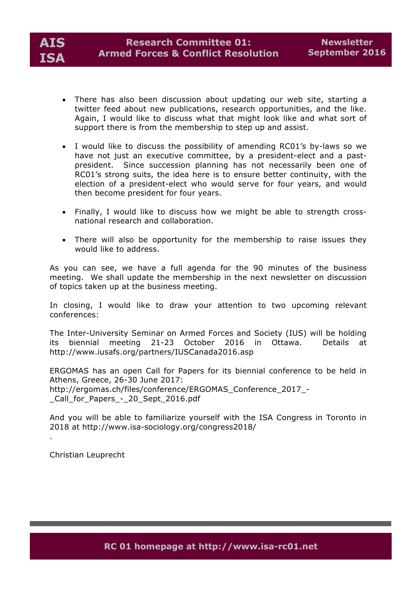

- There has also been discussion about updating our web site, starting a twitter feed about new publications, research opportunities, and the like. Again, I would like to discuss what that might look like and what sort of support there is from the membership to step up and assist.
- I would like to discuss the possibility of amending RC01's by-laws so we have not just an executive committee, by a president-elect and a pastpresident. Since succession planning has not necessarily been one of RC01's strong suits, the idea here is to ensure better continuity, with the election of a president-elect who would serve for four years, and would then become president for four years.
- Finally, I would like to discuss how we might be able to strength crossnational research and collaboration.
- There will also be opportunity for the membership to raise issues they would like to address.

As you can see, we have a full agenda for the 90 minutes of the business meeting. We shall update the membership in the next newsletter on discussion of topics taken up at the business meeting.

In closing, I would like to draw your attention to two upcoming relevant conferences:

The Inter-University Seminar on Armed Forces and Society (IUS) will be holding its biennial meeting 21-23 October 2016 in Ottawa. Details at http://www.iusafs.org/partners/IUSCanada2016.asp

ERGOMAS has an open Call for Papers for its biennial conference to be held in Athens, Greece, 26-30 June 2017: http://ergomas.ch/files/conference/ERGOMAS\_Conference\_2017\_- \_Call\_for\_Papers\_-\_20\_Sept\_2016.pdf

And you will be able to familiarize yourself with the ISA Congress in Toronto in 2018 at http://www.isa-sociology.org/congress2018/

Christian Leuprecht

.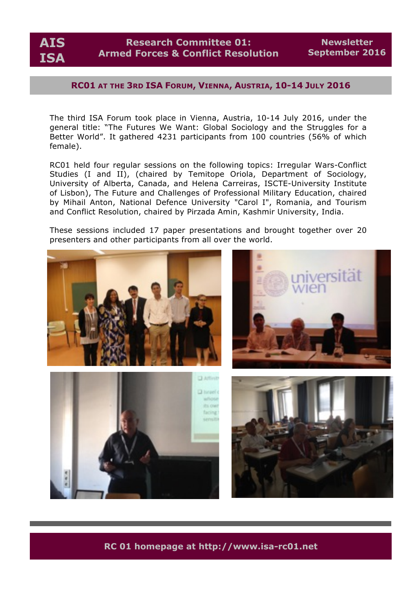

**Newsletter September 2016**

## **RC01 AT THE 3RD ISA FORUM, VIENNA, AUSTRIA, 10-14 JULY 2016**

The third ISA Forum took place in Vienna, Austria, 10-14 July 2016, under the general title: "The Futures We Want: Global Sociology and the Struggles for a Better World". It gathered 4231 participants from 100 countries (56% of which female).

RC01 held four regular sessions on the following topics: Irregular Wars-Conflict Studies (I and II), (chaired by Temitope Oriola, Department of Sociology, University of Alberta, Canada, and Helena Carreiras, ISCTE-University Institute of Lisbon), The Future and Challenges of Professional Military Education, chaired by Mihail Anton, National Defence University "Carol I", Romania, and Tourism and Conflict Resolution, chaired by Pirzada Amin, Kashmir University, India.

These sessions included 17 paper presentations and brought together over 20 presenters and other participants from all over the world.



**RC 01 homepage at http://www.isa-rc01.net**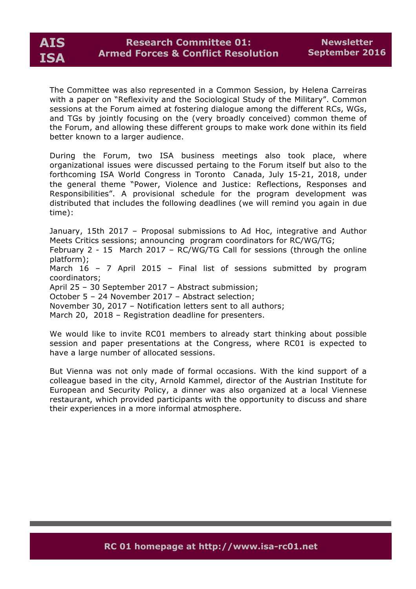

The Committee was also represented in a Common Session, by Helena Carreiras with a paper on "Reflexivity and the Sociological Study of the Military". Common sessions at the Forum aimed at fostering dialogue among the different RCs, WGs, and TGs by jointly focusing on the (very broadly conceived) common theme of the Forum, and allowing these different groups to make work done within its field better known to a larger audience.

During the Forum, two ISA business meetings also took place, where organizational issues were discussed pertaing to the Forum itself but also to the forthcoming ISA World Congress in Toronto Canada, July 15-21, 2018, under the general theme "Power, Violence and Justice: Reflections, Responses and Responsibilities". A provisional schedule for the program development was distributed that includes the following deadlines (we will remind you again in due time):

January, 15th 2017 – Proposal submissions to Ad Hoc, integrative and Author Meets Critics sessions; announcing program coordinators for RC/WG/TG;

February 2 - 15 March 2017 – RC/WG/TG Call for sessions (through the online platform);

March 16 – 7 April 2015 – Final list of sessions submitted by program coordinators;

April 25 – 30 September 2017 – Abstract submission;

October 5 – 24 November 2017 – Abstract selection;

November 30, 2017 – Notification letters sent to all authors;

March 20, 2018 – Registration deadline for presenters.

We would like to invite RC01 members to already start thinking about possible session and paper presentations at the Congress, where RC01 is expected to have a large number of allocated sessions.

But Vienna was not only made of formal occasions. With the kind support of a colleague based in the city, Arnold Kammel, director of the Austrian Institute for European and Security Policy, a dinner was also organized at a local Viennese restaurant, which provided participants with the opportunity to discuss and share their experiences in a more informal atmosphere.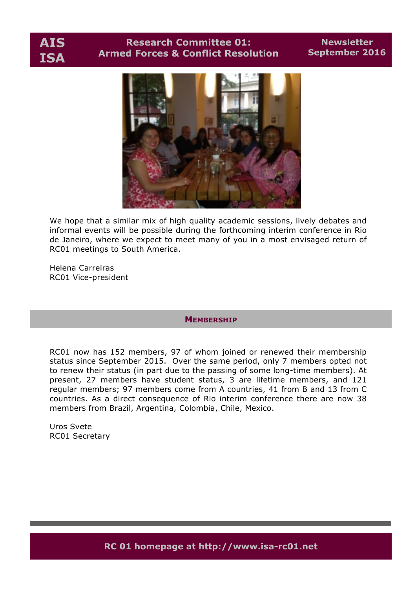**AIS ISA**

# **Research Committee 01: Armed Forces & Conflict Resolution**

## **Newsletter September 2016**



We hope that a similar mix of high quality academic sessions, lively debates and informal events will be possible during the forthcoming interim conference in Rio de Janeiro, where we expect to meet many of you in a most envisaged return of RC01 meetings to South America.

Helena Carreiras RC01 Vice-president

#### **MEMBERSHIP**

RC01 now has 152 members, 97 of whom joined or renewed their membership status since September 2015. Over the same period, only 7 members opted not to renew their status (in part due to the passing of some long-time members). At present, 27 members have student status, 3 are lifetime members, and 121 regular members; 97 members come from A countries, 41 from B and 13 from C countries. As a direct consequence of Rio interim conference there are now 38 members from Brazil, Argentina, Colombia, Chile, Mexico.

Uros Svete RC01 Secretary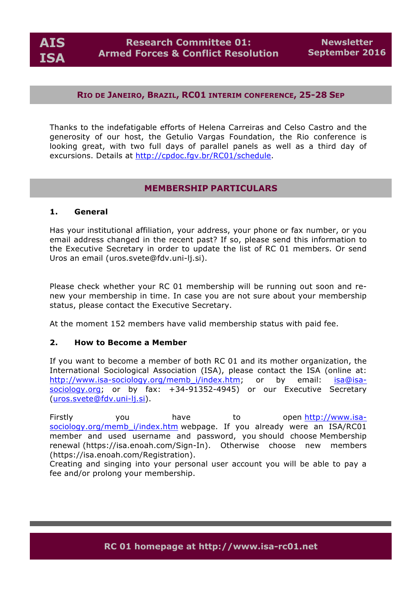**AIS ISA**

### **RIO DE JANEIRO, BRAZIL, RC01 INTERIM CONFERENCE, 25-28 SEP**

Thanks to the indefatigable efforts of Helena Carreiras and Celso Castro and the generosity of our host, the Getulio Vargas Foundation, the Rio conference is looking great, with two full days of parallel panels as well as a third day of excursions. Details at http://cpdoc.fgv.br/RC01/schedule.

## **MEMBERSHIP PARTICULARS**

#### **1. General**

Has your institutional affiliation, your address, your phone or fax number, or you email address changed in the recent past? If so, please send this information to the Executive Secretary in order to update the list of RC 01 members. Or send Uros an email (uros.svete@fdv.uni-lj.si).

Please check whether your RC 01 membership will be running out soon and renew your membership in time. In case you are not sure about your membership status, please contact the Executive Secretary.

At the moment 152 members have valid membership status with paid fee.

#### **2. How to Become a Member**

If you want to become a member of both RC 01 and its mother organization, the International Sociological Association (ISA), please contact the ISA (online at: http://www.isa-sociology.org/memb\_i/index.htm; or by email: isa@isasociology.org; or by fax: +34-91352-4945) or our Executive Secretary (uros.svete@fdv.uni-lj.si).

Firstly you have to open http://www.isasociology.org/memb i/index.htm webpage. If you already were an ISA/RC01 member and used username and password, you should choose Membership renewal (https://isa.enoah.com/Sign-In). Otherwise choose new members (https://isa.enoah.com/Registration).

Creating and singing into your personal user account you will be able to pay a fee and/or prolong your membership.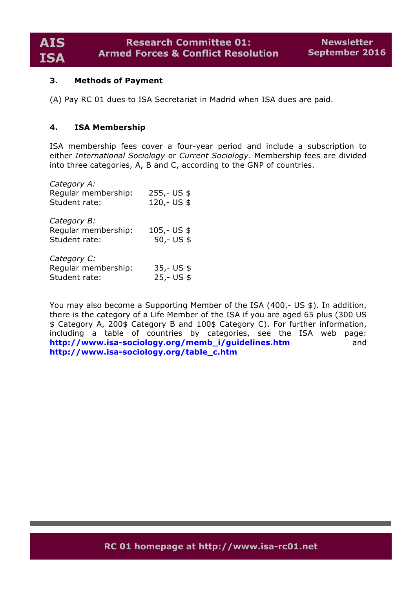### **3. Methods of Payment**

(A) Pay RC 01 dues to ISA Secretariat in Madrid when ISA dues are paid.

### **4. ISA Membership**

ISA membership fees cover a four-year period and include a subscription to either *International Sociology* or *Current Sociology*. Membership fees are divided into three categories, A, B and C, according to the GNP of countries.

| Category A:<br>Regular membership:<br>Student rate: | $255,-US$ \$<br>120,- US \$   |
|-----------------------------------------------------|-------------------------------|
| Category B:<br>Regular membership:<br>Student rate: | $105,-$ US \$<br>$50 - US$ \$ |
| Category C:<br>Regular membership:<br>Student rate: | $35 - US$ \$<br>$25 - US$ \$  |

You may also become a Supporting Member of the ISA (400,- US \$). In addition, there is the category of a Life Member of the ISA if you are aged 65 plus (300 US \$ Category A, 200\$ Category B and 100\$ Category C). For further information, including a table of countries by categories, see the ISA web page: **http://www.isa-sociology.org/memb\_i/guidelines.htm** and **http://www.isa-sociology.org/table\_c.htm**